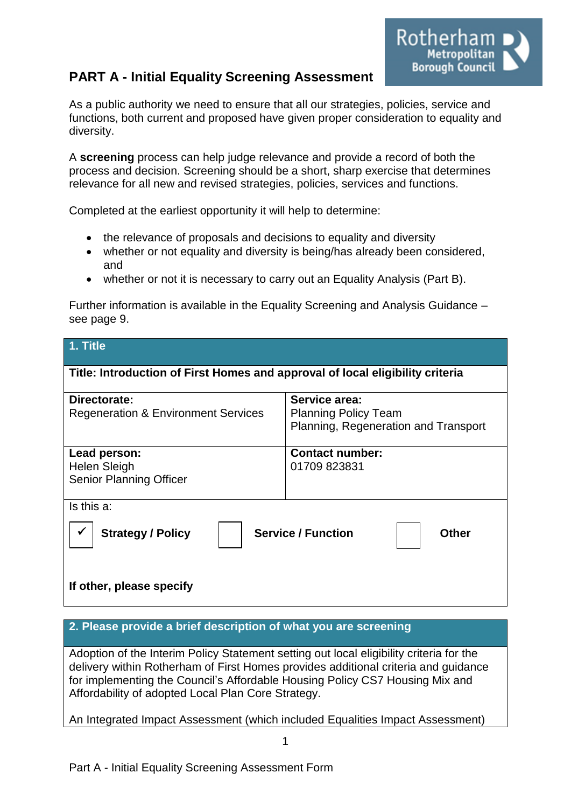# **PART A - Initial Equality Screening Assessment**



As a public authority we need to ensure that all our strategies, policies, service and functions, both current and proposed have given proper consideration to equality and diversity.

A **screening** process can help judge relevance and provide a record of both the process and decision. Screening should be a short, sharp exercise that determines relevance for all new and revised strategies, policies, services and functions.

Completed at the earliest opportunity it will help to determine:

- the relevance of proposals and decisions to equality and diversity
- whether or not equality and diversity is being/has already been considered, and
- whether or not it is necessary to carry out an Equality Analysis (Part B).

Further information is available in the Equality Screening and Analysis Guidance – see page 9.

| 1. Title                                                                      |                                      |  |  |  |
|-------------------------------------------------------------------------------|--------------------------------------|--|--|--|
| Title: Introduction of First Homes and approval of local eligibility criteria |                                      |  |  |  |
| Directorate:                                                                  | Service area:                        |  |  |  |
| <b>Regeneration &amp; Environment Services</b>                                | <b>Planning Policy Team</b>          |  |  |  |
|                                                                               | Planning, Regeneration and Transport |  |  |  |
| Lead person:                                                                  | <b>Contact number:</b>               |  |  |  |
| <b>Helen Sleigh</b>                                                           | 01709 823831                         |  |  |  |
| <b>Senior Planning Officer</b>                                                |                                      |  |  |  |
| Is this a:                                                                    |                                      |  |  |  |
| <b>Service / Function</b><br><b>Strategy / Policy</b><br><b>Other</b>         |                                      |  |  |  |
| If other, please specify                                                      |                                      |  |  |  |

# **2. Please provide a brief description of what you are screening**

Adoption of the Interim Policy Statement setting out local eligibility criteria for the delivery within Rotherham of First Homes provides additional criteria and guidance for implementing the Council's Affordable Housing Policy CS7 Housing Mix and Affordability of adopted Local Plan Core Strategy.

An Integrated Impact Assessment (which included Equalities Impact Assessment)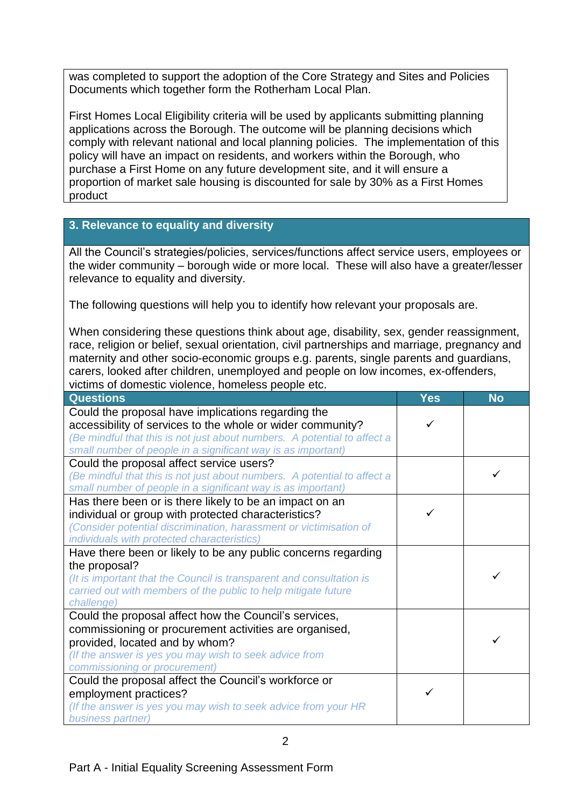was completed to support the adoption of the Core Strategy and Sites and Policies Documents which together form the Rotherham Local Plan.

First Homes Local Eligibility criteria will be used by applicants submitting planning applications across the Borough. The outcome will be planning decisions which comply with relevant national and local planning policies. The implementation of this policy will have an impact on residents, and workers within the Borough, who purchase a First Home on any future development site, and it will ensure a proportion of market sale housing is discounted for sale by 30% as a First Homes product

## **3. Relevance to equality and diversity**

All the Council's strategies/policies, services/functions affect service users, employees or the wider community – borough wide or more local. These will also have a greater/lesser relevance to equality and diversity.

The following questions will help you to identify how relevant your proposals are.

When considering these questions think about age, disability, sex, gender reassignment, race, religion or belief, sexual orientation, civil partnerships and marriage, pregnancy and maternity and other socio-economic groups e.g. parents, single parents and guardians, carers, looked after children, unemployed and people on low incomes, ex-offenders, victims of domestic violence, homeless people etc.

| <b>Questions</b>                                                         | <b>Yes</b> | <b>No</b> |
|--------------------------------------------------------------------------|------------|-----------|
| Could the proposal have implications regarding the                       |            |           |
| accessibility of services to the whole or wider community?               |            |           |
| (Be mindful that this is not just about numbers. A potential to affect a |            |           |
| small number of people in a significant way is as important)             |            |           |
| Could the proposal affect service users?                                 |            |           |
| (Be mindful that this is not just about numbers. A potential to affect a |            |           |
| small number of people in a significant way is as important)             |            |           |
| Has there been or is there likely to be an impact on an                  |            |           |
| individual or group with protected characteristics?                      |            |           |
| (Consider potential discrimination, harassment or victimisation of       |            |           |
| individuals with protected characteristics)                              |            |           |
| Have there been or likely to be any public concerns regarding            |            |           |
| the proposal?                                                            |            |           |
| (It is important that the Council is transparent and consultation is     |            |           |
| carried out with members of the public to help mitigate future           |            |           |
| challenge)                                                               |            |           |
| Could the proposal affect how the Council's services,                    |            |           |
| commissioning or procurement activities are organised,                   |            |           |
| provided, located and by whom?                                           |            |           |
| (If the answer is yes you may wish to seek advice from                   |            |           |
| commissioning or procurement)                                            |            |           |
| Could the proposal affect the Council's workforce or                     |            |           |
| employment practices?                                                    |            |           |
| (If the answer is yes you may wish to seek advice from your HR           |            |           |
| business partner)                                                        |            |           |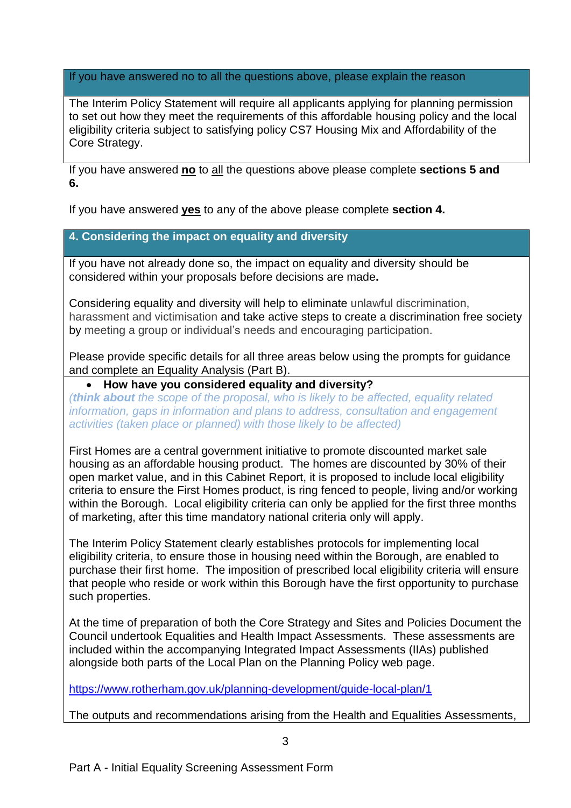If you have answered no to all the questions above, please explain the reason

The Interim Policy Statement will require all applicants applying for planning permission to set out how they meet the requirements of this affordable housing policy and the local eligibility criteria subject to satisfying policy CS7 Housing Mix and Affordability of the Core Strategy.

If you have answered **no** to all the questions above please complete **sections 5 and 6.**

If you have answered **yes** to any of the above please complete **section 4.** 

## **4. Considering the impact on equality and diversity**

If you have not already done so, the impact on equality and diversity should be considered within your proposals before decisions are made**.**

Considering equality and diversity will help to eliminate unlawful discrimination, harassment and victimisation and take active steps to create a discrimination free society by meeting a group or individual's needs and encouraging participation.

Please provide specific details for all three areas below using the prompts for guidance and complete an Equality Analysis (Part B).

# **How have you considered equality and diversity?**

*(think about the scope of the proposal, who is likely to be affected, equality related information, gaps in information and plans to address, consultation and engagement activities (taken place or planned) with those likely to be affected)*

First Homes are a central government initiative to promote discounted market sale housing as an affordable housing product. The homes are discounted by 30% of their open market value, and in this Cabinet Report, it is proposed to include local eligibility criteria to ensure the First Homes product, is ring fenced to people, living and/or working within the Borough. Local eligibility criteria can only be applied for the first three months of marketing, after this time mandatory national criteria only will apply.

The Interim Policy Statement clearly establishes protocols for implementing local eligibility criteria, to ensure those in housing need within the Borough, are enabled to purchase their first home. The imposition of prescribed local eligibility criteria will ensure that people who reside or work within this Borough have the first opportunity to purchase such properties.

At the time of preparation of both the Core Strategy and Sites and Policies Document the Council undertook Equalities and Health Impact Assessments. These assessments are included within the accompanying Integrated Impact Assessments (IIAs) published alongside both parts of the Local Plan on the Planning Policy web page.

<https://www.rotherham.gov.uk/planning-development/guide-local-plan/1>

The outputs and recommendations arising from the Health and Equalities Assessments,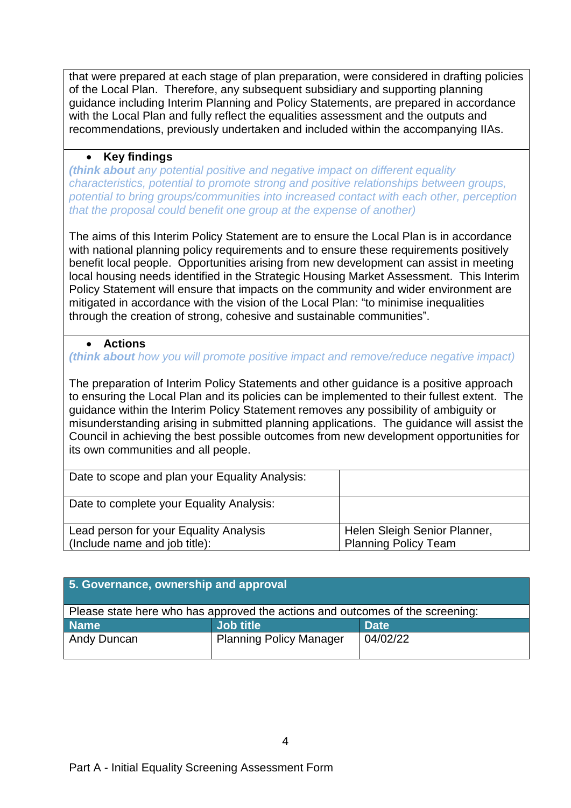that were prepared at each stage of plan preparation, were considered in drafting policies of the Local Plan. Therefore, any subsequent subsidiary and supporting planning guidance including Interim Planning and Policy Statements, are prepared in accordance with the Local Plan and fully reflect the equalities assessment and the outputs and recommendations, previously undertaken and included within the accompanying IIAs.

#### **•** Key findings

*(think about any potential positive and negative impact on different equality characteristics, potential to promote strong and positive relationships between groups, potential to bring groups/communities into increased contact with each other, perception that the proposal could benefit one group at the expense of another)*

The aims of this Interim Policy Statement are to ensure the Local Plan is in accordance with national planning policy requirements and to ensure these requirements positively benefit local people. Opportunities arising from new development can assist in meeting local housing needs identified in the Strategic Housing Market Assessment. This Interim Policy Statement will ensure that impacts on the community and wider environment are mitigated in accordance with the vision of the Local Plan: "to minimise inequalities through the creation of strong, cohesive and sustainable communities".

## **Actions**

### *(think about how you will promote positive impact and remove/reduce negative impact)*

The preparation of Interim Policy Statements and other guidance is a positive approach to ensuring the Local Plan and its policies can be implemented to their fullest extent. The guidance within the Interim Policy Statement removes any possibility of ambiguity or misunderstanding arising in submitted planning applications. The guidance will assist the Council in achieving the best possible outcomes from new development opportunities for its own communities and all people.

| Date to scope and plan your Equality Analysis:                          |                                                             |
|-------------------------------------------------------------------------|-------------------------------------------------------------|
| Date to complete your Equality Analysis:                                |                                                             |
| Lead person for your Equality Analysis<br>(Include name and job title): | Helen Sleigh Senior Planner,<br><b>Planning Policy Team</b> |

| 5. Governance, ownership and approval                                         |                                |             |  |  |
|-------------------------------------------------------------------------------|--------------------------------|-------------|--|--|
| Please state here who has approved the actions and outcomes of the screening: |                                |             |  |  |
| <b>Name</b>                                                                   | Job title                      | <b>Date</b> |  |  |
| Andy Duncan                                                                   | <b>Planning Policy Manager</b> | 04/02/22    |  |  |